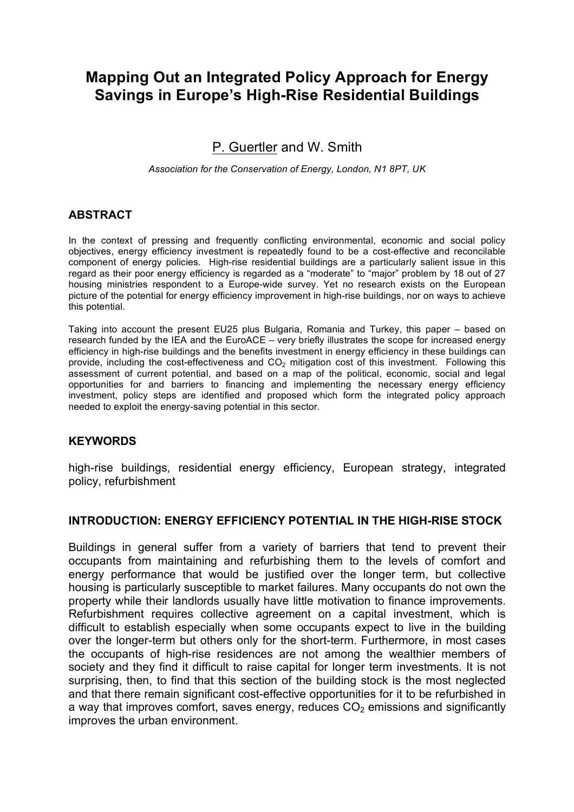# **Mapping Out an Integrated Policy Approach for Energy Savings in Europe's High-Rise Residential Buildings**

# P. Guertler and W. Smith

*Association for the Conservation of Energy, London, N1 8PT, UK*

#### **ABSTRACT**

In the context of pressing and frequently conflicting environmental, economic and social policy objectives, energy efficiency investment is repeatedly found to be a cost-effective and reconcilable component of energy policies. High-rise residential buildings are a particularly salient issue in this regard as their poor energy efficiency is regarded as a "moderate" to "major" problem by 18 out of 27 housing ministries respondent to a Europe-wide survey. Yet no research exists on the European picture of the potential for energy efficiency improvement in high-rise buildings, nor on ways to achieve this potential.

Taking into account the present EU25 plus Bulgaria, Romania and Turkey, this paper – based on research funded by the IEA and the EuroACE – very briefly illustrates the scope for increased energy efficiency in high-rise buildings and the benefits investment in energy efficiency in these buildings can provide, including the cost-effectiveness and  $CO<sub>2</sub>$  mitigation cost of this investment. Following this assessment of current potential, and based on a map of the political, economic, social and legal opportunities for and barriers to financing and implementing the necessary energy efficiency investment, policy steps are identified and proposed which form the integrated policy approach needed to exploit the energy-saving potential in this sector.

#### **KEYWORDS**

high-rise buildings, residential energy efficiency, European strategy, integrated policy, refurbishment

#### **INTRODUCTION: ENERGY EFFICIENCY POTENTIAL IN THE HIGH-RISE STOCK**

Buildings in general suffer from a variety of barriers that tend to prevent their occupants from maintaining and refurbishing them to the levels of comfort and energy performance that would be justified over the longer term, but collective housing is particularly susceptible to market failures. Many occupants do not own the property while their landlords usually have little motivation to finance improvements. Refurbishment requires collective agreement on a capital investment, which is difficult to establish especially when some occupants expect to live in the building over the longer-term but others only for the short-term. Furthermore, in most cases the occupants of high-rise residences are not among the wealthier members of society and they find it difficult to raise capital for longer term investments. It is not surprising, then, to find that this section of the building stock is the most neglected and that there remain significant cost-effective opportunities for it to be refurbished in a way that improves comfort, saves energy, reduces  $CO<sub>2</sub>$  emissions and significantly improves the urban environment.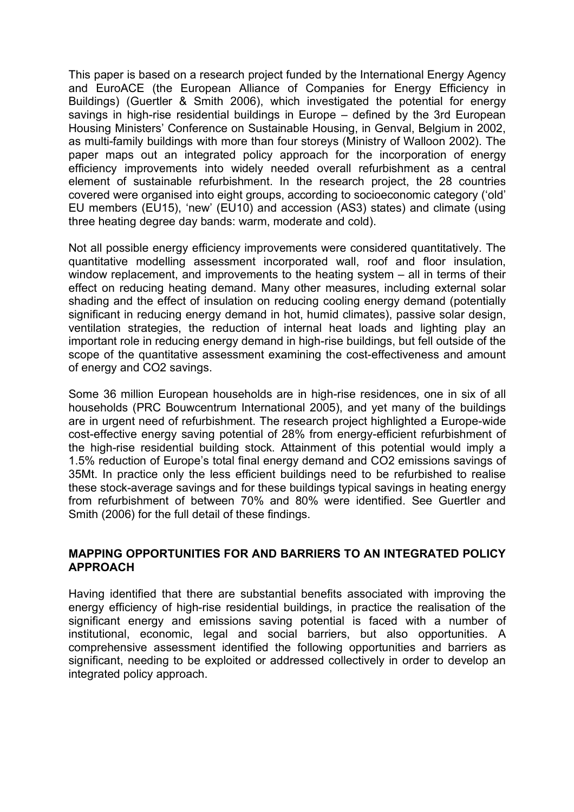This paper is based on a research project funded by the International Energy Agency and EuroACE (the European Alliance of Companies for Energy Efficiency in Buildings) (Guertler & Smith 2006), which investigated the potential for energy savings in high-rise residential buildings in Europe – defined by the 3rd European Housing Ministers' Conference on Sustainable Housing, in Genval, Belgium in 2002, as multi-family buildings with more than four storeys (Ministry of Walloon 2002). The paper maps out an integrated policy approach for the incorporation of energy efficiency improvements into widely needed overall refurbishment as a central element of sustainable refurbishment. In the research project, the 28 countries covered were organised into eight groups, according to socioeconomic category ('old' EU members (EU15), 'new' (EU10) and accession (AS3) states) and climate (using three heating degree day bands: warm, moderate and cold).

Not all possible energy efficiency improvements were considered quantitatively. The quantitative modelling assessment incorporated wall, roof and floor insulation, window replacement, and improvements to the heating system – all in terms of their effect on reducing heating demand. Many other measures, including external solar shading and the effect of insulation on reducing cooling energy demand (potentially significant in reducing energy demand in hot, humid climates), passive solar design, ventilation strategies, the reduction of internal heat loads and lighting play an important role in reducing energy demand in high-rise buildings, but fell outside of the scope of the quantitative assessment examining the cost-effectiveness and amount of energy and CO2 savings.

Some 36 million European households are in high-rise residences, one in six of all households (PRC Bouwcentrum International 2005), and yet many of the buildings are in urgent need of refurbishment. The research project highlighted a Europe-wide cost-effective energy saving potential of 28% from energy-efficient refurbishment of the high-rise residential building stock. Attainment of this potential would imply a 1.5% reduction of Europe's total final energy demand and CO2 emissions savings of 35Mt. In practice only the less efficient buildings need to be refurbished to realise these stock-average savings and for these buildings typical savings in heating energy from refurbishment of between 70% and 80% were identified. See Guertler and Smith (2006) for the full detail of these findings.

#### **MAPPING OPPORTUNITIES FOR AND BARRIERS TO AN INTEGRATED POLICY APPROACH**

Having identified that there are substantial benefits associated with improving the energy efficiency of high-rise residential buildings, in practice the realisation of the significant energy and emissions saving potential is faced with a number of institutional, economic, legal and social barriers, but also opportunities. A comprehensive assessment identified the following opportunities and barriers as significant, needing to be exploited or addressed collectively in order to develop an integrated policy approach.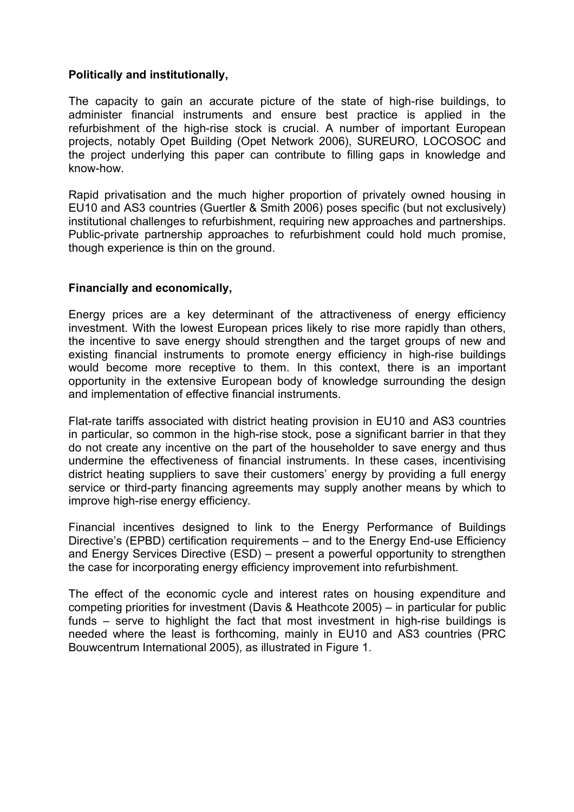#### **Politically and institutionally,**

The capacity to gain an accurate picture of the state of high-rise buildings, to administer financial instruments and ensure best practice is applied in the refurbishment of the high-rise stock is crucial. A number of important European projects, notably Opet Building (Opet Network 2006), SUREURO, LOCOSOC and the project underlying this paper can contribute to filling gaps in knowledge and know-how.

Rapid privatisation and the much higher proportion of privately owned housing in EU10 and AS3 countries (Guertler & Smith 2006) poses specific (but not exclusively) institutional challenges to refurbishment, requiring new approaches and partnerships. Public-private partnership approaches to refurbishment could hold much promise, though experience is thin on the ground.

### **Financially and economically,**

Energy prices are a key determinant of the attractiveness of energy efficiency investment. With the lowest European prices likely to rise more rapidly than others, the incentive to save energy should strengthen and the target groups of new and existing financial instruments to promote energy efficiency in high-rise buildings would become more receptive to them. In this context, there is an important opportunity in the extensive European body of knowledge surrounding the design and implementation of effective financial instruments.

Flat-rate tariffs associated with district heating provision in EU10 and AS3 countries in particular, so common in the high-rise stock, pose a significant barrier in that they do not create any incentive on the part of the householder to save energy and thus undermine the effectiveness of financial instruments. In these cases, incentivising district heating suppliers to save their customers' energy by providing a full energy service or third-party financing agreements may supply another means by which to improve high-rise energy efficiency.

Financial incentives designed to link to the Energy Performance of Buildings Directive's (EPBD) certification requirements – and to the Energy End-use Efficiency and Energy Services Directive (ESD) – present a powerful opportunity to strengthen the case for incorporating energy efficiency improvement into refurbishment.

The effect of the economic cycle and interest rates on housing expenditure and competing priorities for investment (Davis & Heathcote 2005) – in particular for public funds – serve to highlight the fact that most investment in high-rise buildings is needed where the least is forthcoming, mainly in EU10 and AS3 countries (PRC Bouwcentrum International 2005), as illustrated in Figure 1.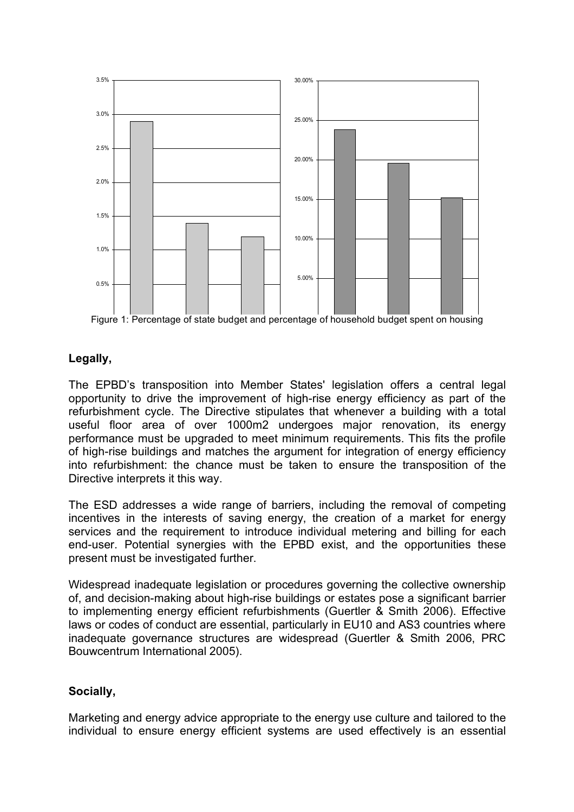

 $\mathsf{in}$ EU10 B tage Figure 1: Percentage of state budget and percentage of household budget spent on housing

# **Legally,**

The EPBD's transposition into Member States' legislation offers a central legal opportunity to drive the improvement of high-rise energy efficiency as part of the refurbishment cycle. The Directive stipulates that whenever a building with a total useful floor area of over 1000m2 undergoes major renovation, its energy performance must be upgraded to meet minimum requirements. This fits the profile of high-rise buildings and matches the argument for integration of energy efficiency into refurbishment: the chance must be taken to ensure the transposition of the Directive interprets it this way.

The ESD addresses a wide range of barriers, including the removal of competing incentives in the interests of saving energy, the creation of a market for energy services and the requirement to introduce individual metering and billing for each end-user. Potential synergies with the EPBD exist, and the opportunities these present must be investigated further.

Widespread inadequate legislation or procedures governing the collective ownership of, and decision-making about high-rise buildings or estates pose a significant barrier to implementing energy efficient refurbishments (Guertler & Smith 2006). Effective laws or codes of conduct are essential, particularly in EU10 and AS3 countries where inadequate governance structures are widespread (Guertler & Smith 2006, PRC Bouwcentrum International 2005).

# **Socially,**

Marketing and energy advice appropriate to the energy use culture and tailored to the individual to ensure energy efficient systems are used effectively is an essential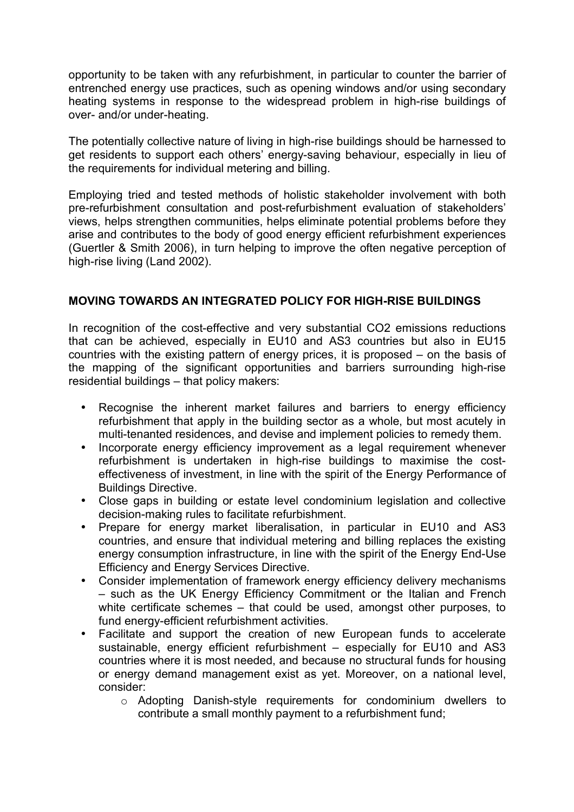opportunity to be taken with any refurbishment, in particular to counter the barrier of entrenched energy use practices, such as opening windows and/or using secondary heating systems in response to the widespread problem in high-rise buildings of over- and/or under-heating.

The potentially collective nature of living in high-rise buildings should be harnessed to get residents to support each others' energy-saving behaviour, especially in lieu of the requirements for individual metering and billing.

Employing tried and tested methods of holistic stakeholder involvement with both pre-refurbishment consultation and post-refurbishment evaluation of stakeholders' views, helps strengthen communities, helps eliminate potential problems before they arise and contributes to the body of good energy efficient refurbishment experiences (Guertler & Smith 2006), in turn helping to improve the often negative perception of high-rise living (Land 2002).

# **MOVING TOWARDS AN INTEGRATED POLICY FOR HIGH-RISE BUILDINGS**

In recognition of the cost-effective and very substantial CO2 emissions reductions that can be achieved, especially in EU10 and AS3 countries but also in EU15 countries with the existing pattern of energy prices, it is proposed – on the basis of the mapping of the significant opportunities and barriers surrounding high-rise residential buildings – that policy makers:

- Recognise the inherent market failures and barriers to energy efficiency refurbishment that apply in the building sector as a whole, but most acutely in multi-tenanted residences, and devise and implement policies to remedy them.
- Incorporate energy efficiency improvement as a legal requirement whenever refurbishment is undertaken in high-rise buildings to maximise the costeffectiveness of investment, in line with the spirit of the Energy Performance of Buildings Directive.
- Close gaps in building or estate level condominium legislation and collective decision-making rules to facilitate refurbishment.
- Prepare for energy market liberalisation, in particular in EU10 and AS3 countries, and ensure that individual metering and billing replaces the existing energy consumption infrastructure, in line with the spirit of the Energy End-Use Efficiency and Energy Services Directive.
- Consider implementation of framework energy efficiency delivery mechanisms – such as the UK Energy Efficiency Commitment or the Italian and French white certificate schemes – that could be used, amongst other purposes, to fund energy-efficient refurbishment activities.
- Facilitate and support the creation of new European funds to accelerate sustainable, energy efficient refurbishment – especially for EU10 and AS3 countries where it is most needed, and because no structural funds for housing or energy demand management exist as yet. Moreover, on a national level, consider:
	- o Adopting Danish-style requirements for condominium dwellers to contribute a small monthly payment to a refurbishment fund;